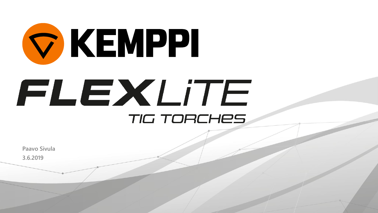

**3.6.2019 Paavo Sivula**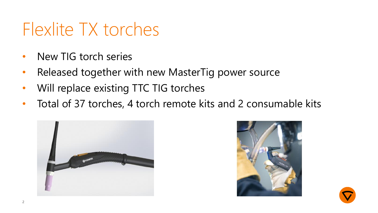## Flexlite TX torches

- New TIG torch series
- Released together with new MasterTig power source
- Will replace existing TTC TIG torches
- Total of 37 torches, 4 torch remote kits and 2 consumable kits





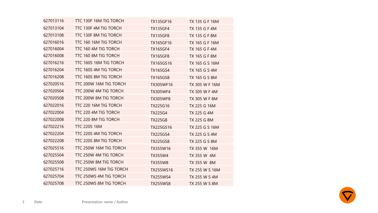| TTC 130F 16M TIG TORCH  | TX135GF16       | TX 135 G F 16M |
|-------------------------|-----------------|----------------|
| TTC 130F 4M TIG TORCH   | <b>TX135GF4</b> | TX 135 G F 4M  |
| TTC 130F 8M TIG TORCH   | <b>TX135GF8</b> | TX 135 G F 8M  |
| TTC 160 16M TIG TORCH   | TX165GF16       | TX 165 G F 16M |
| TTC 160 4M TIG TORCH    | <b>TX165GF4</b> | TX 165 G F 4M  |
| TTC 160 8M TIG TORCH    | <b>TX165GF8</b> | TX 165 G F 8M  |
| TTC 160S 16M TIG TORCH  | TX165GS16       | TX 165 G S 16M |
| TTC 160S 4M TIG TORCH   | TX165GS4        | TX 165 G S 4M  |
| TTC 160S 8M TIG TORCH   | <b>TX165GS8</b> | TX 165 G S 8M  |
| TTC 200W 16M TIG TORCH  | TX305WF16       | TX 305 W F 16M |
| TTC 200W 4M TIG TORCH   | <b>TX305WF4</b> | TX 305 W F 4M  |
| TTC 200W 8M TIG TORCH   | <b>TX305WF8</b> | TX 305 W F 8M  |
| TTC 220 16M TIG TORCH   | TX225G16        | TX 225 G 16M   |
| TTC 220 4M TIG TORCH    | <b>TX225G4</b>  | TX 225 G 4M    |
| TTC 220 8M TIG TORCH    | TX225G8         | TX 225 G 8M    |
| <b>TTC 220S 16M</b>     | TX225GS16       | TX 225 G S 16M |
| TTC 220S 4M TIG TORCH   | <b>TX225GS4</b> | TX 225 G S 4M  |
| TTC 220S 8M TIG TORCH   | <b>TX225GS8</b> | TX 225 G S 8M  |
| TTC 250W 16M TIG TORCH  | TX355W16        | TX 355 W 16M   |
| TTC 250W 4M TIG TORCH   | TX355W4         | TX 355 W 4M    |
| TTC 250W 8M TIG TORCH   | TX355W8         | TX 355 W 8M    |
| TTC 250WS 16M TIG TORCH | TX255WS16       | TX 255 W S 16M |
| TTC 250WS 4M TIG TORCH  | <b>TX255WS4</b> | TX 255 W S 4M  |
| TTC 250WS 8M TIG TORCH  | <b>TX255WS8</b> | TX 255 W S 8M  |
|                         |                 |                |

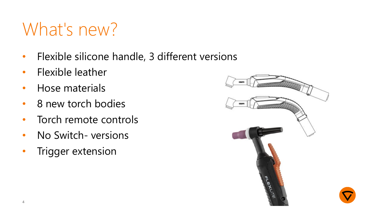# What's new?

- Flexible silicone handle, 3 different versions
- Flexible leather
- Hose materials
- 8 new torch bodies
- Torch remote controls
- No Switch- versions
- Trigger extension

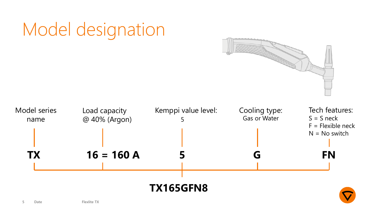

### Model designation

**5 Date Flexlite TX**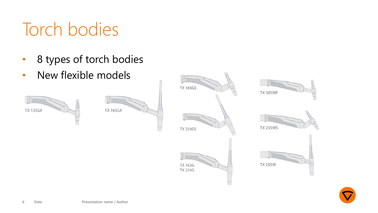# Torch bodies

- 8 types of torch bodies
- New flexible models







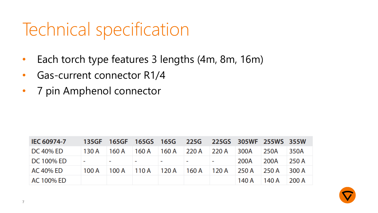# Technical specification

- Each torch type features 3 lengths (4m, 8m, 16m)
- Gas-current connector R1/4
- 7 pin Amphenol connector

| <b>IEC 60974-7</b> |                                 |                     |                                               |               |       | 135GF 165GF 165GS 165G 225G 225GS 305WF 255WS 355W |       |
|--------------------|---------------------------------|---------------------|-----------------------------------------------|---------------|-------|----------------------------------------------------|-------|
| <b>DC 40% ED</b>   |                                 |                     | 130 A   160 A   160 A   160 A   220 A   220 A |               | 300A  | 250A                                               | 350A  |
| <b>DC 100% ED</b>  | with the company of the company |                     | with the control of the control of the con-   |               | 200A  | 200A                                               | 250 A |
| AC 40% ED          | 100 A                           | $100 A$ 110 A 120 A |                                               | $160 A$ 120 A | 250 A | 250 A                                              | 300 A |
| AC 100% ED         |                                 |                     |                                               |               | 140 A | 140 A                                              | 200A  |

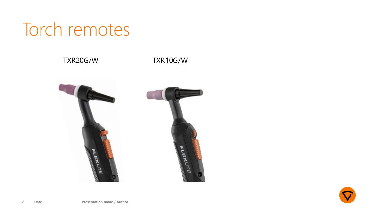### Torch remotes

### TXR20G/W TXR10G/W



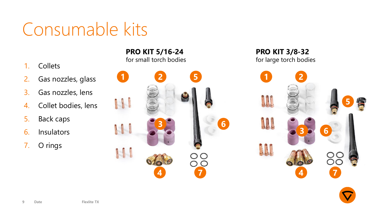# Consumable kits

- 1. Collets
- 2. Gas nozzles, glass
- 3. Gas nozzles, lens
- 4. Collet bodies, lens
- 5. Back caps
- 6. Insulators
- 7. O rings

**PRO KIT 5/16-24**  for small torch bodies



**PRO KIT 3/8-32**  for large torch bodies

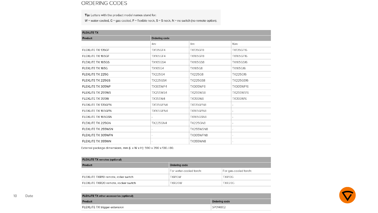#### ORDERING CODES

Tip: Letters with the product model names stand for:

 $W =$  water-cooled, G = gas-cooled, F = flexible neck, S = S neck, N = no switch (no remote option).

| <b>FLEXLITE TX</b> |                  |                  |                  |  |  |
|--------------------|------------------|------------------|------------------|--|--|
| Product            | Ordering code    |                  |                  |  |  |
|                    | $4m$ :           | 8m:              | $16m$ :          |  |  |
| FLEXLITE TX 135GF  | <b>TX135GF4</b>  | <b>TX135GF8</b>  | TX135GF16        |  |  |
| FLEXLITE TX 165GF  | <b>TX165GF4</b>  | <b>TX165GF8</b>  | <b>TX165GF16</b> |  |  |
| FLEXLITE TX 165GS  | <b>TX165GS4</b>  | <b>TX165GS8</b>  | <b>TX165GS16</b> |  |  |
| FLEXLITE TX 165G   | <b>TX165G4</b>   | <b>TX165G8</b>   | TX165G16         |  |  |
| FLEXLITE TX 225G   | <b>TX225G4</b>   | <b>TX225G8</b>   | TX225G16         |  |  |
| FLEXLITE TX 225GS  | <b>TX225GS4</b>  | <b>TX225GS8</b>  | TX225GS16        |  |  |
| FLEXLITE TX 305WF  | <b>TX305WF4</b>  | <b>TX305WF8</b>  | TX305WF16        |  |  |
| FLEXLITE TX 255WS  | <b>TX255WS4</b>  | <b>TX255WS8</b>  | <b>TX255WS16</b> |  |  |
| FLEXLITE TX 355W   | <b>TX355W4</b>   | <b>TX355W8</b>   | TX355W16         |  |  |
| FLEXLITE TX 135GEN | <b>TX135GFN4</b> | <b>TX135GFN8</b> |                  |  |  |
| FLEXLITE TX 165GFN | <b>TX165GFN4</b> | <b>TX165GFN8</b> |                  |  |  |
| FLEXLITE TX 165GSN |                  | <b>TX165GSN8</b> |                  |  |  |
| FLEXLITE TX 225GN  | <b>TX225GN4</b>  | <b>TX225GN8</b>  |                  |  |  |
| FLEXLITE TX 255WSN |                  | <b>TX255WSN8</b> |                  |  |  |
| FLEXLITE TX 305WFN |                  | <b>TX305WFN8</b> |                  |  |  |
| FLEXLITE TX 355WN  |                  | <b>TX355WN8</b>  |                  |  |  |

External package dimensions, mm (L x W x H): 590 x 390 x 130 / 80.

| <b>FLEXLITE TX remotes (optional)</b> |                         |                       |  |
|---------------------------------------|-------------------------|-----------------------|--|
| Product                               | <b>Ordering code</b>    |                       |  |
|                                       | For water-cooled torch: | For gas-cooled torch: |  |
| FLEXLITE TXR10 remote, roller switch  | TXR10W                  | TXR10G                |  |
| FLEXLITE TXR20 remote, rocker switch  | TXR20W                  | TXR20G                |  |

Ordering code SP014802



| <b>FLEXLITE TX other accessories (optional)</b> |  |
|-------------------------------------------------|--|
| Product                                         |  |
| FLEXLITE TX trigger extension                   |  |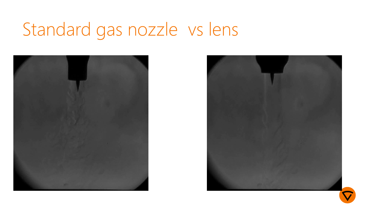# Standard gas nozzle vs lens





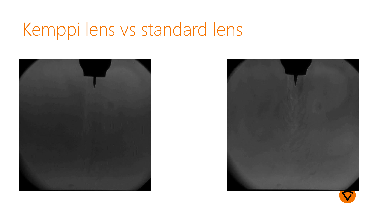# Kemppi lens vs standard lens